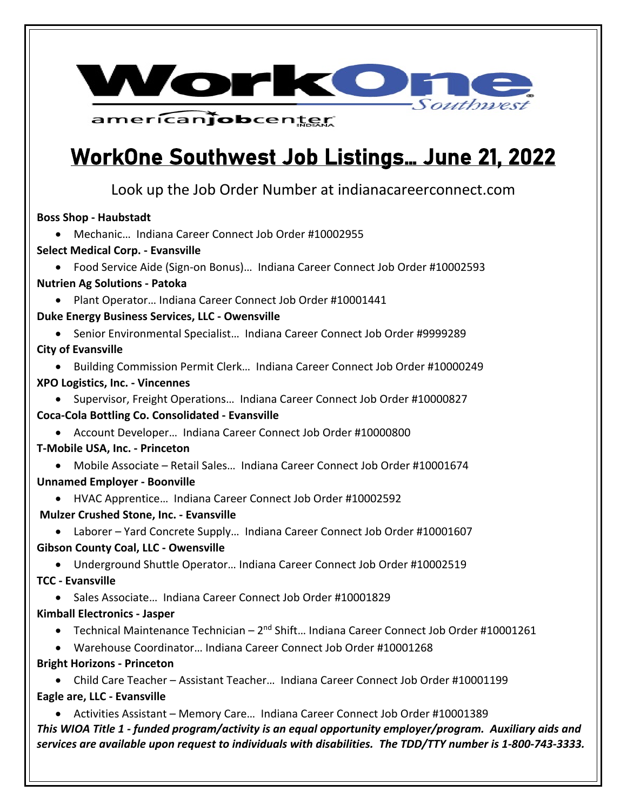

americanjobcenter

### WorkOne Southwest Job Listings… June 21, 2022

Look up the Job Order Number at indianacareerconnect.com

**Boss Shop - Haubstadt**

• Mechanic… Indiana Career Connect Job Order #10002955

**Select Medical Corp. - Evansville**

• Food Service Aide (Sign-on Bonus)… Indiana Career Connect Job Order #10002593

#### **Nutrien Ag Solutions - Patoka**

• Plant Operator… Indiana Career Connect Job Order #10001441

**Duke Energy Business Services, LLC - Owensville**

• Senior Environmental Specialist…Indiana Career Connect Job Order #9999289 **City of Evansville** 

• Building Commission Permit Clerk… Indiana Career Connect Job Order #10000249 **XPO Logistics, Inc. - Vincennes**

• Supervisor, Freight Operations… Indiana Career Connect Job Order #10000827 **Coca-Cola Bottling Co. Consolidated - Evansville**

• Account Developer… Indiana Career Connect Job Order #10000800

**T-Mobile USA, Inc. - Princeton**

• Mobile Associate – Retail Sales… Indiana Career Connect Job Order #10001674 **Unnamed Employer - Boonville**

• HVAC Apprentice… Indiana Career Connect Job Order #10002592

**Mulzer Crushed Stone, Inc. - Evansville**

• Laborer – Yard Concrete Supply…Indiana Career Connect Job Order #10001607 **Gibson County Coal, LLC - Owensville**

• Underground Shuttle Operator… Indiana Career Connect Job Order #10002519 **TCC - Evansville**

• Sales Associate… Indiana Career Connect Job Order #10001829

#### **Kimball Electronics - Jasper**

• Technical Maintenance Technician – 2<sup>nd</sup> Shift... Indiana Career Connect Job Order #10001261

- Warehouse Coordinator… Indiana Career Connect Job Order #10001268
- **Bright Horizons - Princeton**

• Child Care Teacher – Assistant Teacher… Indiana Career Connect Job Order #10001199 **Eagle are, LLC - Evansville**

*This WIOA Title 1 - funded program/activity is an equal opportunity employer/program. Auxiliary aids and services are available upon request to individuals with disabilities. The TDD/TTY number is 1-800-743-3333.* • Activities Assistant – Memory Care… Indiana Career Connect Job Order #10001389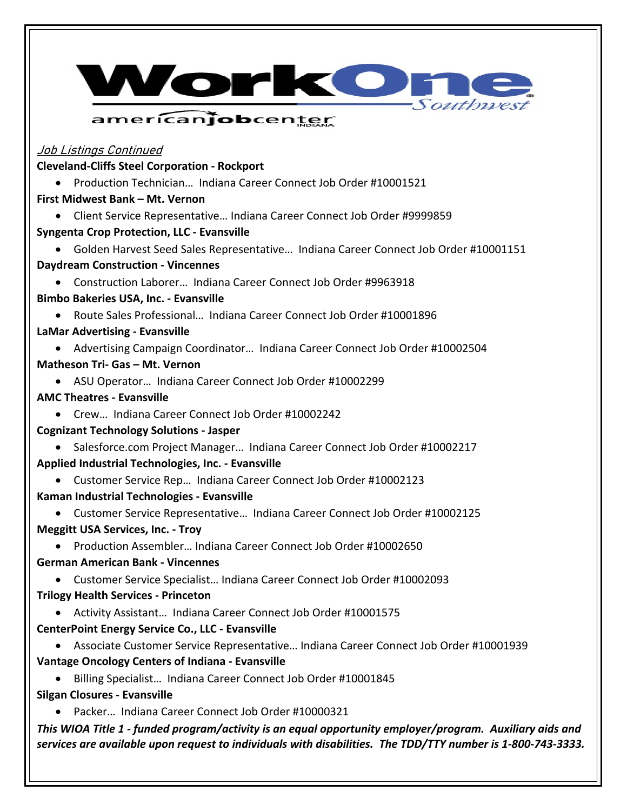